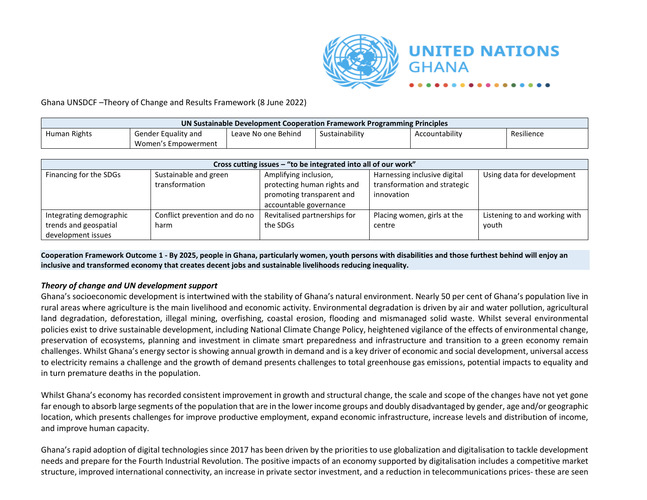

#### Ghana UNSDCF –Theory of Change and Results Framework (8 June 2022)

| UN Sustainable Development Cooperation Framework Programming Principles |                                                                                              |  |  |  |  |  |  |
|-------------------------------------------------------------------------|----------------------------------------------------------------------------------------------|--|--|--|--|--|--|
| Human Rights                                                            | Accountability<br>Sustainability<br>Resilience<br>Leave No one Behind<br>Gender Equality and |  |  |  |  |  |  |
|                                                                         | Women's Empowerment                                                                          |  |  |  |  |  |  |

|                                                                        |                                         | Cross cutting issues - "to be integrated into all of our work"                                              |                                                                            |                                        |
|------------------------------------------------------------------------|-----------------------------------------|-------------------------------------------------------------------------------------------------------------|----------------------------------------------------------------------------|----------------------------------------|
| Financing for the SDGs                                                 | Sustainable and green<br>transformation | Amplifying inclusion,<br>protecting human rights and<br>promoting transparent and<br>accountable governance | Harnessing inclusive digital<br>transformation and strategic<br>innovation | Using data for development             |
| Integrating demographic<br>trends and geospatial<br>development issues | Conflict prevention and do no<br>harm   | Revitalised partnerships for<br>the SDGs                                                                    | Placing women, girls at the<br>centre                                      | Listening to and working with<br>vouth |

**Cooperation Framework Outcome 1 - By 2025, people in Ghana, particularly women, youth persons with disabilities and those furthest behind will enjoy an inclusive and transformed economy that creates decent jobs and sustainable livelihoods reducing inequality.**

#### *Theory of change and UN development support*

Ghana's socioeconomic development is intertwined with the stability of Ghana's natural environment. Nearly 50 per cent of Ghana's population live in rural areas where agriculture is the main livelihood and economic activity. Environmental degradation is driven by air and water pollution, agricultural land degradation, deforestation, illegal mining, overfishing, coastal erosion, flooding and mismanaged solid waste. Whilst several environmental policies exist to drive sustainable development, including National Climate Change Policy, heightened vigilance of the effects of environmental change, preservation of ecosystems, planning and investment in climate smart preparedness and infrastructure and transition to a green economy remain challenges. Whilst Ghana's energy sector is showing annual growth in demand and is a key driver of economic and social development, universal access to electricity remains a challenge and the growth of demand presents challenges to total greenhouse gas emissions, potential impacts to equality and in turn premature deaths in the population.

Whilst Ghana's economy has recorded consistent improvement in growth and structural change, the scale and scope of the changes have not yet gone far enough to absorb large segments of the population that are in the lower income groups and doubly disadvantaged by gender, age and/or geographic location, which presents challenges for improve productive employment, expand economic infrastructure, increase levels and distribution of income, and improve human capacity.

Ghana's rapid adoption of digital technologies since 2017 has been driven by the priorities to use globalization and digitalisation to tackle development needs and prepare for the Fourth Industrial Revolution. The positive impacts of an economy supported by digitalisation includes a competitive market structure, improved international connectivity, an increase in private sector investment, and a reduction in telecommunications prices- these are seen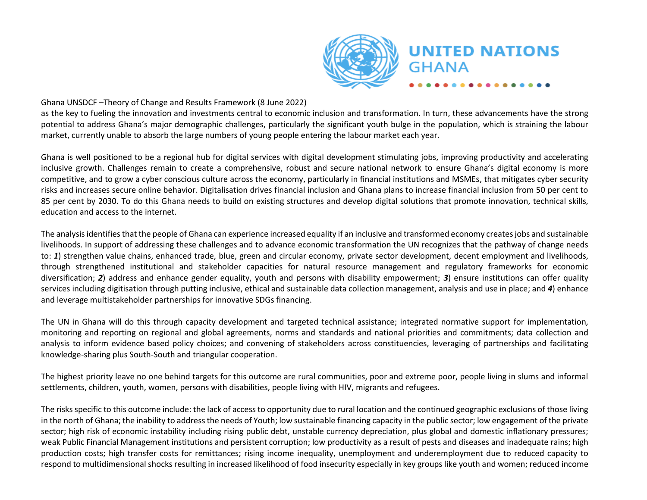

**GHANA** 

#### Ghana UNSDCF –Theory of Change and Results Framework (8 June 2022)

as the key to fueling the innovation and investments central to economic inclusion and transformation. In turn, these advancements have the strong potential to address Ghana's major demographic challenges, particularly the significant youth bulge in the population, which is straining the labour market, currently unable to absorb the large numbers of young people entering the labour market each year.

Ghana is well positioned to be a regional hub for digital services with digital development stimulating jobs, improving productivity and accelerating inclusive growth. Challenges remain to create a comprehensive, robust and secure national network to ensure Ghana's digital economy is more competitive, and to grow a cyber conscious culture across the economy, particularly in financial institutions and MSMEs, that mitigates cyber security risks and increases secure online behavior. Digitalisation drives financial inclusion and Ghana plans to increase financial inclusion from 50 per cent to 85 per cent by 2030. To do this Ghana needs to build on existing structures and develop digital solutions that promote innovation, technical skills, education and access to the internet.

The analysis identifies that the people of Ghana can experience increased equality if an inclusive and transformed economy creates jobs and sustainable livelihoods. In support of addressing these challenges and to advance economic transformation the UN recognizes that the pathway of change needs to: *1*) strengthen value chains, enhanced trade, blue, green and circular economy, private sector development, decent employment and livelihoods, through strengthened institutional and stakeholder capacities for natural resource management and regulatory frameworks for economic diversification; *2*) address and enhance gender equality, youth and persons with disability empowerment; *3*) ensure institutions can offer quality services including digitisation through putting inclusive, ethical and sustainable data collection management, analysis and use in place; and *4*) enhance and leverage multistakeholder partnerships for innovative SDGs financing.

The UN in Ghana will do this through capacity development and targeted technical assistance; integrated normative support for implementation, monitoring and reporting on regional and global agreements, norms and standards and national priorities and commitments; data collection and analysis to inform evidence based policy choices; and convening of stakeholders across constituencies, leveraging of partnerships and facilitating knowledge-sharing plus South-South and triangular cooperation.

The highest priority leave no one behind targets for this outcome are rural communities, poor and extreme poor, people living in slums and informal settlements, children, youth, women, persons with disabilities, people living with HIV, migrants and refugees.

The risks specific to this outcome include: the lack of access to opportunity due to rural location and the continued geographic exclusions of those living in the north of Ghana; the inability to address the needs of Youth; low sustainable financing capacity in the public sector; low engagement of the private sector; high risk of economic instability including rising public debt, unstable currency depreciation, plus global and domestic inflationary pressures; weak Public Financial Management institutions and persistent corruption; low productivity as a result of pests and diseases and inadequate rains; high production costs; high transfer costs for remittances; rising income inequality, unemployment and underemployment due to reduced capacity to respond to multidimensional shocks resulting in increased likelihood of food insecurity especially in key groups like youth and women; reduced income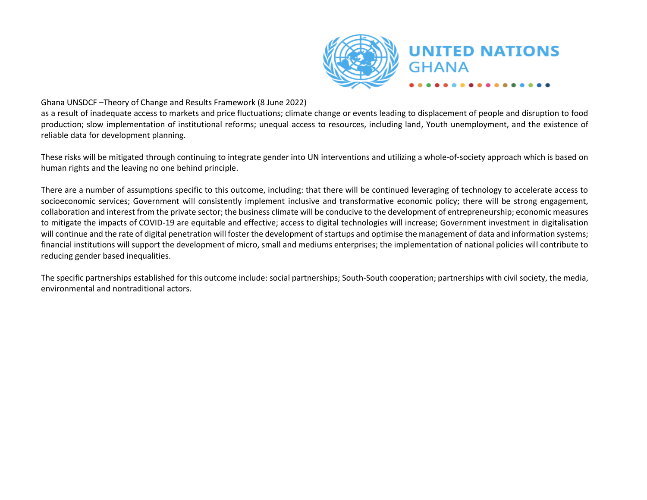

**GHANA** 

#### Ghana UNSDCF –Theory of Change and Results Framework (8 June 2022)

as a result of inadequate access to markets and price fluctuations; climate change or events leading to displacement of people and disruption to food production; slow implementation of institutional reforms; unequal access to resources, including land, Youth unemployment, and the existence of reliable data for development planning.

These risks will be mitigated through continuing to integrate gender into UN interventions and utilizing a whole-of-society approach which is based on human rights and the leaving no one behind principle.

There are a number of assumptions specific to this outcome, including: that there will be continued leveraging of technology to accelerate access to socioeconomic services; Government will consistently implement inclusive and transformative economic policy; there will be strong engagement, collaboration and interest from the private sector; the business climate will be conducive to the development of entrepreneurship; economic measures to mitigate the impacts of COVID-19 are equitable and effective; access to digital technologies will increase; Government investment in digitalisation will continue and the rate of digital penetration will foster the development of startups and optimise the management of data and information systems; financial institutions will support the development of micro, small and mediums enterprises; the implementation of national policies will contribute to reducing gender based inequalities.

The specific partnerships established for this outcome include: social partnerships; South-South cooperation; partnerships with civil society, the media, environmental and nontraditional actors.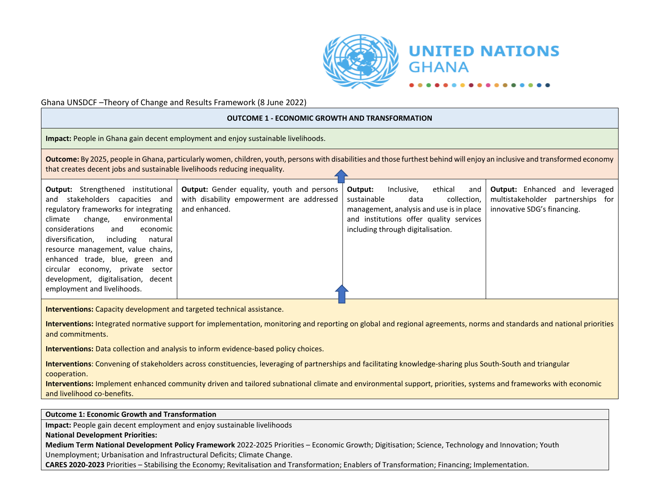

GHANA

#### Ghana UNSDCF –Theory of Change and Results Framework (8 June 2022)

#### **OUTCOME 1 - ECONOMIC GROWTH AND TRANSFORMATION Impact:** People in Ghana gain decent employment and enjoy sustainable livelihoods. **Outcome:** By 2025, people in Ghana, particularly women, children, youth, persons with disabilities and those furthest behind will enjoy an inclusive and transformed economy that creates decent jobs and sustainable livelihoods reducing inequality. **Output:** Strengthened institutional and stakeholders capacities and regulatory frameworks for integrating climate change, environmental considerations and economic diversification, including natural resource management, value chains, enhanced trade, blue, green and circular economy, private sector development, digitalisation, decent employment and livelihoods. **Output:** Gender equality, youth and persons with disability empowerment are addressed and enhanced. **Output:** Inclusive, ethical and sustainable data collection. management, analysis and use is in place and institutions offer quality services including through digitalisation. **Output:** Enhanced and leveraged multistakeholder partnerships for innovative SDG's financing. **Interventions:** Capacity development and targeted technical assistance. **Interventions:** Integrated normative support for implementation, monitoring and reporting on global and regional agreements, norms and standards and national priorities and commitments. **Interventions:** Data collection and analysis to inform evidence-based policy choices. **Interventions**: Convening of stakeholders across constituencies, leveraging of partnerships and facilitating knowledge-sharing plus South-South and triangular cooperation. **Interventions:** Implement enhanced community driven and tailored subnational climate and environmental support, priorities, systems and frameworks with economic and livelihood co-benefits. **Outcome 1: Economic Growth and Transformation Impact:** People gain decent employment and enjoy sustainable livelihoods **National Development Priorities:**

**Medium Term National Development Policy Framework** 2022-2025 Priorities – Economic Growth; Digitisation; Science, Technology and Innovation; Youth Unemployment; Urbanisation and Infrastructural Deficits; Climate Change.

**CARES 2020-2023** Priorities – Stabilising the Economy; Revitalisation and Transformation; Enablers of Transformation; Financing; Implementation.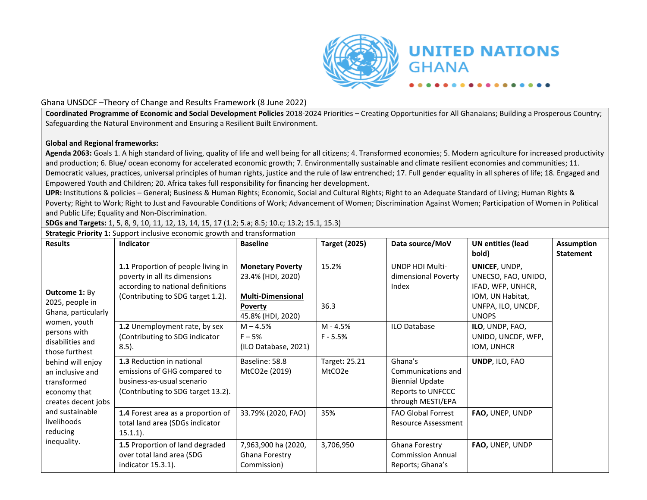

**Coordinated Programme of Economic and Social Development Policies** 2018-2024 Priorities – Creating Opportunities for All Ghanaians; Building a Prosperous Country; Safeguarding the Natural Environment and Ensuring a Resilient Built Environment.

#### **Global and Regional frameworks:**

**Agenda 2063:** Goals 1. A high standard of living, quality of life and well being for all citizens; 4. Transformed economies; 5. Modern agriculture for increased productivity and production; 6. Blue/ ocean economy for accelerated economic growth; 7. Environmentally sustainable and climate resilient economies and communities; 11. Democratic values, practices, universal principles of human rights, justice and the rule of law entrenched; 17. Full gender equality in all spheres of life; 18. Engaged and Empowered Youth and Children; 20. Africa takes full responsibility for financing her development.

**UPR:** Institutions & policies – General; Business & Human Rights; Economic, Social and Cultural Rights; Right to an Adequate Standard of Living; Human Rights & Poverty; Right to Work; Right to Just and Favourable Conditions of Work; Advancement of Women; Discrimination Against Women; Participation of Women in Political and Public Life; Equality and Non-Discrimination.

**SDGs and Targets:** 1, 5, 8, 9, 10, 11, 12, 13, 14, 15, 17 (1.2; 5.a; 8.5; 10.c; 13.2; 15.1, 15.3)

**Strategic Priority 1:** Support inclusive economic growth and transformation

| <b>Results</b>                                                                              | Indicator                                                                                                                                     | <b>Baseline</b>                                                                                                 | <b>Target (2025)</b>     | Data source/MoV                                                                                   | <b>UN entities (lead</b><br>bold)                                                                                   | <b>Assumption</b><br><b>Statement</b> |
|---------------------------------------------------------------------------------------------|-----------------------------------------------------------------------------------------------------------------------------------------------|-----------------------------------------------------------------------------------------------------------------|--------------------------|---------------------------------------------------------------------------------------------------|---------------------------------------------------------------------------------------------------------------------|---------------------------------------|
| <b>Outcome 1: By</b><br>2025, people in<br>Ghana, particularly                              | 1.1 Proportion of people living in<br>poverty in all its dimensions<br>according to national definitions<br>(Contributing to SDG target 1.2). | <b>Monetary Poverty</b><br>23.4% (HDI, 2020)<br><b>Multi-Dimensional</b><br><b>Poverty</b><br>45.8% (HDI, 2020) | 15.2%<br>36.3            | UNDP HDI Multi-<br>dimensional Poverty<br>Index                                                   | UNICEF, UNDP,<br>UNECSO, FAO, UNIDO,<br>IFAD, WFP, UNHCR,<br>IOM, UN Habitat,<br>UNFPA, ILO, UNCDF,<br><b>UNOPS</b> |                                       |
| women, youth<br>persons with<br>disabilities and<br>those furthest                          | 1.2 Unemployment rate, by sex<br>(Contributing to SDG indicator<br>$8.5$ ).                                                                   | $M - 4.5%$<br>$F - 5%$<br>(ILO Database, 2021)                                                                  | $M - 4.5%$<br>$F - 5.5%$ | <b>ILO Database</b>                                                                               | ILO, UNDP, FAO,<br>UNIDO, UNCDF, WFP,<br>IOM, UNHCR                                                                 |                                       |
| behind will enjoy<br>an inclusive and<br>transformed<br>economy that<br>creates decent jobs | <b>1.3</b> Reduction in national<br>emissions of GHG compared to<br>business-as-usual scenario<br>(Contributing to SDG target 13.2).          | Baseline: 58.8<br>MtCO2e (2019)                                                                                 | Target: 25.21<br>MtCO2e  | Ghana's<br>Communications and<br><b>Biennial Update</b><br>Reports to UNFCCC<br>through MESTI/EPA | UNDP, ILO, FAO                                                                                                      |                                       |
| and sustainable<br>livelihoods<br>reducing                                                  | 1.4 Forest area as a proportion of<br>total land area (SDGs indicator<br>$15.1.1$ ).                                                          | 33.79% (2020, FAO)                                                                                              | 35%                      | <b>FAO Global Forrest</b><br><b>Resource Assessment</b>                                           | FAO, UNEP, UNDP                                                                                                     |                                       |
| inequality.                                                                                 | 1.5 Proportion of land degraded<br>over total land area (SDG<br>indicator 15.3.1).                                                            | 7,963,900 ha (2020,<br>Ghana Forestry<br>Commission)                                                            | 3,706,950                | Ghana Forestry<br><b>Commission Annual</b><br>Reports; Ghana's                                    | FAO, UNEP, UNDP                                                                                                     |                                       |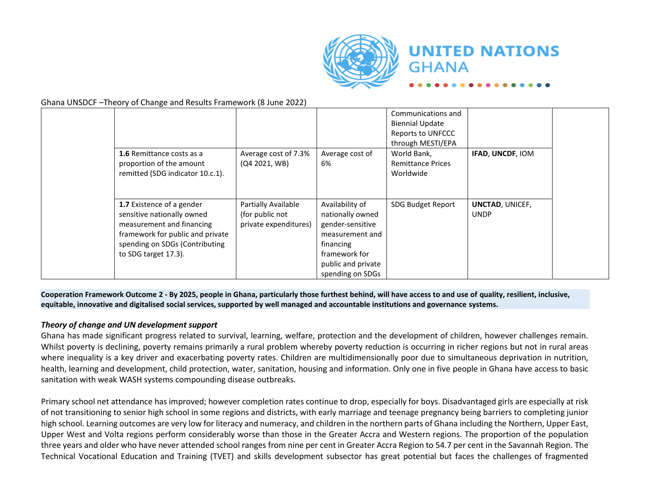

Ghana UNSDCF –Theory of Change and Results Framework (8 June 2022)

| 1.6 Remittance costs as a                                                                                                                                                          | Average cost of 7.3%                                            | Average cost of                                                                                                                                    | Communications and<br><b>Biennial Update</b><br>Reports to UNFCCC<br>through MESTI/EPA<br>World Bank, | IFAD, UNCDF, IOM                      |
|------------------------------------------------------------------------------------------------------------------------------------------------------------------------------------|-----------------------------------------------------------------|----------------------------------------------------------------------------------------------------------------------------------------------------|-------------------------------------------------------------------------------------------------------|---------------------------------------|
| proportion of the amount<br>remitted (SDG indicator 10.c.1).                                                                                                                       | (Q4 2021, WB)                                                   | 6%                                                                                                                                                 | <b>Remittance Prices</b><br>Worldwide                                                                 |                                       |
| 1.7 Existence of a gender<br>sensitive nationally owned<br>measurement and financing<br>framework for public and private<br>spending on SDGs (Contributing<br>to SDG target 17.3). | Partially Available<br>(for public not<br>private expenditures) | Availability of<br>nationally owned<br>gender-sensitive<br>measurement and<br>financing<br>framework for<br>public and private<br>spending on SDGs | SDG Budget Report                                                                                     | <b>UNCTAD, UNICEF,</b><br><b>UNDP</b> |

**Cooperation Framework Outcome 2 - By 2025, people in Ghana, particularly those furthest behind, will have access to and use of quality, resilient, inclusive, equitable, innovative and digitalised social services, supported by well managed and accountable institutions and governance systems.**

#### *Theory of change and UN development support*

Ghana has made significant progress related to survival, learning, welfare, protection and the development of children, however challenges remain. Whilst poverty is declining, poverty remains primarily a rural problem whereby poverty reduction is occurring in richer regions but not in rural areas where inequality is a key driver and exacerbating poverty rates. Children are multidimensionally poor due to simultaneous deprivation in nutrition, health, learning and development, child protection, water, sanitation, housing and information. Only one in five people in Ghana have access to basic sanitation with weak WASH systems compounding disease outbreaks.

Primary school net attendance has improved; however completion rates continue to drop, especially for boys. Disadvantaged girls are especially at risk of not transitioning to senior high school in some regions and districts, with early marriage and teenage pregnancy being barriers to completing junior high school. Learning outcomes are very low for literacy and numeracy, and children in the northern parts of Ghana including the Northern, Upper East, Upper West and Volta regions perform considerably worse than those in the Greater Accra and Western regions. The proportion of the population three years and older who have never attended school ranges from nine per cent in Greater Accra Region to 54.7 per cent in the Savannah Region. The Technical Vocational Education and Training (TVET) and skills development subsector has great potential but faces the challenges of fragmented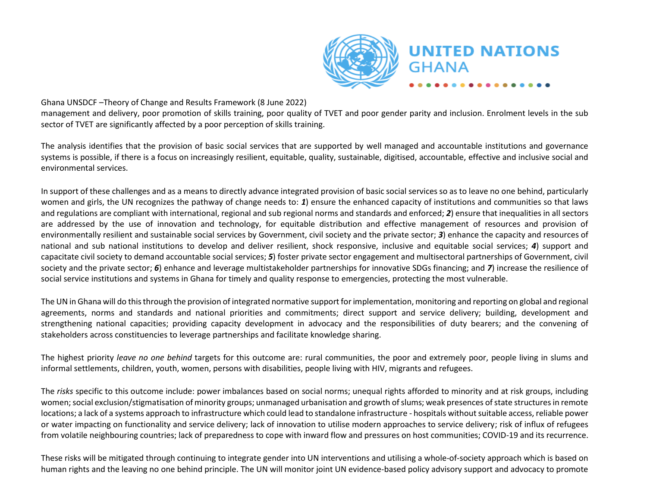

management and delivery, poor promotion of skills training, poor quality of TVET and poor gender parity and inclusion. Enrolment levels in the sub sector of TVET are significantly affected by a poor perception of skills training.

The analysis identifies that the provision of basic social services that are supported by well managed and accountable institutions and governance systems is possible, if there is a focus on increasingly resilient, equitable, quality, sustainable, digitised, accountable, effective and inclusive social and environmental services.

In support of these challenges and as a means to directly advance integrated provision of basic social services so as to leave no one behind, particularly women and girls, the UN recognizes the pathway of change needs to: *1*) ensure the enhanced capacity of institutions and communities so that laws and regulations are compliant with international, regional and sub regional norms and standards and enforced; *2*) ensure that inequalities in all sectors are addressed by the use of innovation and technology, for equitable distribution and effective management of resources and provision of environmentally resilient and sustainable social services by Government, civil society and the private sector; *3*) enhance the capacity and resources of national and sub national institutions to develop and deliver resilient, shock responsive, inclusive and equitable social services; *4*) support and capacitate civil society to demand accountable social services; *5*) foster private sector engagement and multisectoral partnerships of Government, civil society and the private sector; *6*) enhance and leverage multistakeholder partnerships for innovative SDGs financing; and *7*) increase the resilience of social service institutions and systems in Ghana for timely and quality response to emergencies, protecting the most vulnerable.

The UN in Ghana will do this through the provision of integrated normative support for implementation, monitoring and reporting on global and regional agreements, norms and standards and national priorities and commitments; direct support and service delivery; building, development and strengthening national capacities; providing capacity development in advocacy and the responsibilities of duty bearers; and the convening of stakeholders across constituencies to leverage partnerships and facilitate knowledge sharing.

The highest priority *leave no one behind* targets for this outcome are: rural communities, the poor and extremely poor, people living in slums and informal settlements, children, youth, women, persons with disabilities, people living with HIV, migrants and refugees.

The *risks* specific to this outcome include: power imbalances based on social norms; unequal rights afforded to minority and at risk groups, including women; social exclusion/stigmatisation of minority groups; unmanaged urbanisation and growth of slums; weak presences of state structures in remote locations; a lack of a systems approach to infrastructure which could lead to standalone infrastructure - hospitals without suitable access, reliable power or water impacting on functionality and service delivery; lack of innovation to utilise modern approaches to service delivery; risk of influx of refugees from volatile neighbouring countries; lack of preparedness to cope with inward flow and pressures on host communities; COVID-19 and its recurrence.

These risks will be mitigated through continuing to integrate gender into UN interventions and utilising a whole-of-society approach which is based on human rights and the leaving no one behind principle. The UN will monitor joint UN evidence-based policy advisory support and advocacy to promote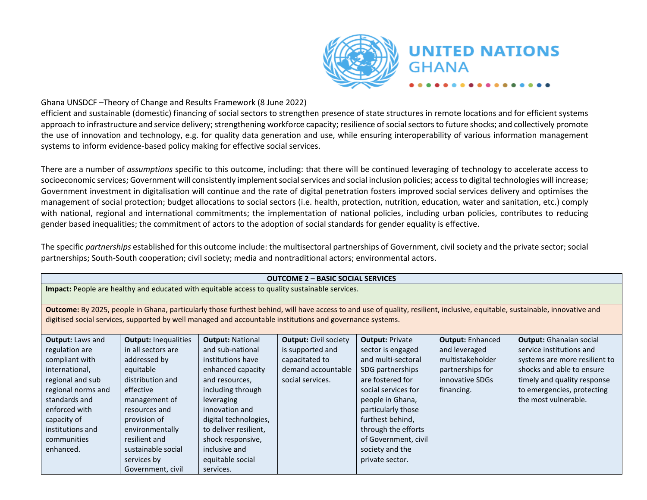

**GHANA** 

#### Ghana UNSDCF –Theory of Change and Results Framework (8 June 2022)

efficient and sustainable (domestic) financing of social sectors to strengthen presence of state structures in remote locations and for efficient systems approach to infrastructure and service delivery; strengthening workforce capacity; resilience of social sectors to future shocks; and collectively promote the use of innovation and technology, e.g. for quality data generation and use, while ensuring interoperability of various information management systems to inform evidence-based policy making for effective social services.

There are a number of *assumptions* specific to this outcome, including: that there will be continued leveraging of technology to accelerate access to socioeconomic services; Government will consistently implement social services and social inclusion policies; access to digital technologies will increase; Government investment in digitalisation will continue and the rate of digital penetration fosters improved social services delivery and optimises the management of social protection; budget allocations to social sectors (i.e. health, protection, nutrition, education, water and sanitation, etc.) comply with national, regional and international commitments; the implementation of national policies, including urban policies, contributes to reducing gender based inequalities; the commitment of actors to the adoption of social standards for gender equality is effective.

The specific *partnerships* established for this outcome include: the multisectoral partnerships of Government, civil society and the private sector; social partnerships; South-South cooperation; civil society; media and nontraditional actors; environmental actors.

|                                                                                                                                                                                                                          |                                                                                                                                                                                                                                                                 |                                                                                                                                                                                                                                                                                       | <b>OUTCOME 2 - BASIC SOCIAL SERVICES</b>                                                                     |                                                                                                                                                                                                                                                                                     |                                                                                                                   |                                                                                                                                                                                                               |
|--------------------------------------------------------------------------------------------------------------------------------------------------------------------------------------------------------------------------|-----------------------------------------------------------------------------------------------------------------------------------------------------------------------------------------------------------------------------------------------------------------|---------------------------------------------------------------------------------------------------------------------------------------------------------------------------------------------------------------------------------------------------------------------------------------|--------------------------------------------------------------------------------------------------------------|-------------------------------------------------------------------------------------------------------------------------------------------------------------------------------------------------------------------------------------------------------------------------------------|-------------------------------------------------------------------------------------------------------------------|---------------------------------------------------------------------------------------------------------------------------------------------------------------------------------------------------------------|
|                                                                                                                                                                                                                          |                                                                                                                                                                                                                                                                 |                                                                                                                                                                                                                                                                                       | Impact: People are healthy and educated with equitable access to quality sustainable services.               |                                                                                                                                                                                                                                                                                     |                                                                                                                   |                                                                                                                                                                                                               |
|                                                                                                                                                                                                                          |                                                                                                                                                                                                                                                                 |                                                                                                                                                                                                                                                                                       | digitised social services, supported by well managed and accountable institutions and governance systems.    |                                                                                                                                                                                                                                                                                     |                                                                                                                   | Outcome: By 2025, people in Ghana, particularly those furthest behind, will have access to and use of quality, resilient, inclusive, equitable, sustainable, innovative and                                   |
| <b>Output: Laws and</b><br>regulation are<br>compliant with<br>international,<br>regional and sub<br>regional norms and<br>standards and<br>enforced with<br>capacity of<br>institutions and<br>communities<br>enhanced. | <b>Output: Inequalities</b><br>in all sectors are<br>addressed by<br>equitable<br>distribution and<br>effective<br>management of<br>resources and<br>provision of<br>environmentally<br>resilient and<br>sustainable social<br>services by<br>Government, civil | <b>Output: National</b><br>and sub-national<br>institutions have<br>enhanced capacity<br>and resources,<br>including through<br>leveraging<br>innovation and<br>digital technologies,<br>to deliver resilient.<br>shock responsive,<br>inclusive and<br>equitable social<br>services. | <b>Output: Civil society</b><br>is supported and<br>capacitated to<br>demand accountable<br>social services. | <b>Output: Private</b><br>sector is engaged<br>and multi-sectoral<br>SDG partnerships<br>are fostered for<br>social services for<br>people in Ghana,<br>particularly those<br>furthest behind,<br>through the efforts<br>of Government, civil<br>society and the<br>private sector. | <b>Output: Enhanced</b><br>and leveraged<br>multistakeholder<br>partnerships for<br>innovative SDGs<br>financing. | <b>Output:</b> Ghanaian social<br>service institutions and<br>systems are more resilient to<br>shocks and able to ensure<br>timely and quality response<br>to emergencies, protecting<br>the most vulnerable. |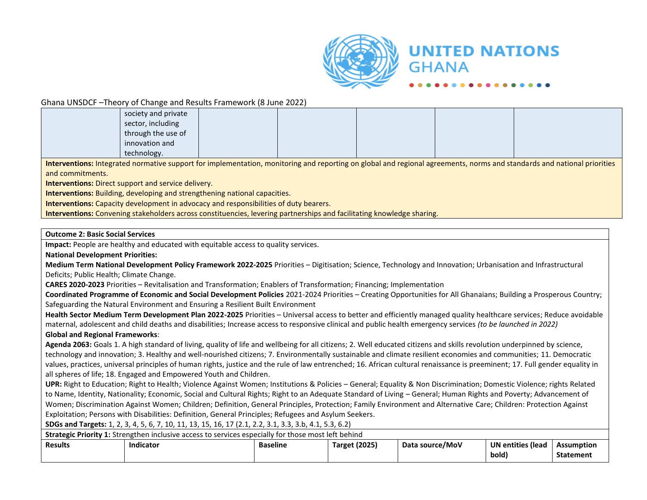

#### Ghana UNSDCF –Theory of Change and Results Framework (8 June 2022)

| society and private |  |  |                                                                                                                                                                         |
|---------------------|--|--|-------------------------------------------------------------------------------------------------------------------------------------------------------------------------|
| sector, including   |  |  |                                                                                                                                                                         |
| through the use of  |  |  |                                                                                                                                                                         |
| innovation and      |  |  |                                                                                                                                                                         |
| technology.         |  |  |                                                                                                                                                                         |
|                     |  |  | Interventions: Integrated normative support for implementation, monitoring and reporting on global and regional agreements, norms and standards and national priorities |

**Interventions:** Integrated normative support for implementation, monitoring and reporting on global and regional agreements, norms and standards and national priorities and commitments.

**Interventions:** Direct support and service delivery.

**Interventions:** Building, developing and strengthening national capacities.

**Interventions:** Capacity development in advocacy and responsibilities of duty bearers.

**Interventions:** Convening stakeholders across constituencies, levering partnerships and facilitating knowledge sharing.

#### **Outcome 2: Basic Social Services**

**Impact:** People are healthy and educated with equitable access to quality services.

**National Development Priorities:**

**Medium Term National Development Policy Framework 2022-2025** Priorities – Digitisation; Science, Technology and Innovation; Urbanisation and Infrastructural Deficits; Public Health; Climate Change.

**CARES 2020-2023** Priorities – Revitalisation and Transformation; Enablers of Transformation; Financing; Implementation

**Coordinated Programme of Economic and Social Development Policies** 2021-2024 Priorities – Creating Opportunities for All Ghanaians; Building a Prosperous Country; Safeguarding the Natural Environment and Ensuring a Resilient Built Environment

**Health Sector Medium Term Development Plan 2022-2025** Priorities – Universal access to better and efficiently managed quality healthcare services; Reduce avoidable maternal, adolescent and child deaths and disabilities; Increase access to responsive clinical and public health emergency services *(to be launched in 2022)*

#### **Global and Regional Frameworks**:

Agenda 2063: Goals 1. A high standard of living, quality of life and wellbeing for all citizens; 2. Well educated citizens and skills revolution underpinned by science, technology and innovation; 3. Healthy and well-nourished citizens; 7. Environmentally sustainable and climate resilient economies and communities; 11. Democratic values, practices, universal principles of human rights, justice and the rule of law entrenched; 16. African cultural renaissance is preeminent; 17. Full gender equality in all spheres of life; 18. Engaged and Empowered Youth and Children.

**UPR:** Right to Education; Right to Health; Violence Against Women; Institutions & Policies – General; Equality & Non Discrimination; Domestic Violence; rights Related to Name, Identity, Nationality; Economic, Social and Cultural Rights; Right to an Adequate Standard of Living – General; Human Rights and Poverty; Advancement of Women; Discrimination Against Women; Children; Definition, General Principles, Protection; Family Environment and Alternative Care; Children: Protection Against Exploitation; Persons with Disabilities: Definition, General Principles; Refugees and Asylum Seekers.

**SDGs and Targets:** 1, 2, 3, 4, 5, 6, 7, 10, 11, 13, 15, 16, 17 (2.1, 2.2, 3.1, 3.3, 3.b, 4.1, 5.3, 6.2)

|                | <b>Strategic Priority 1:</b> Strengthen inclusive access to services especially for those most left behind |                 |                      |                 |                          |                  |
|----------------|------------------------------------------------------------------------------------------------------------|-----------------|----------------------|-----------------|--------------------------|------------------|
| <b>Results</b> | Indicator                                                                                                  | <b>Baseline</b> | <b>Target (2025)</b> | Data source/MoV | <b>UN</b> entities (lead | Assumption       |
|                |                                                                                                            |                 |                      |                 | (bold                    | <b>Statement</b> |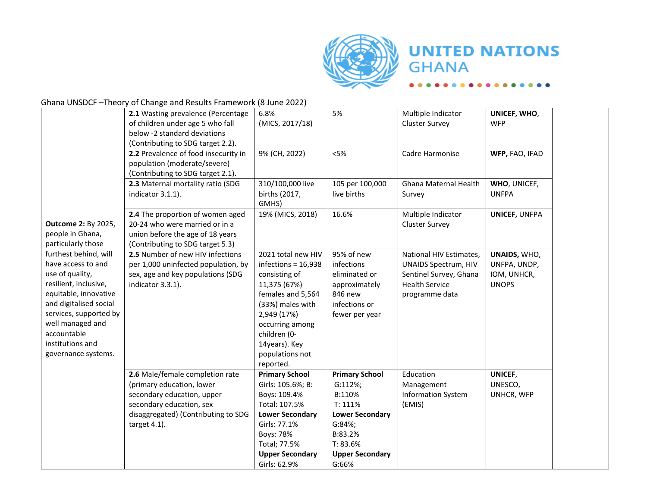

### Ghana UNSDCF –Theory of Change and Results Framework (8 June 2022)

|                            | 2.1 Wasting prevalence (Percentage                              | 6.8%                                    | 5%                                | Multiple Indicator          | UNICEF, WHO,         |  |
|----------------------------|-----------------------------------------------------------------|-----------------------------------------|-----------------------------------|-----------------------------|----------------------|--|
|                            | of children under age 5 who fall                                | (MICS, 2017/18)                         |                                   | <b>Cluster Survey</b>       | <b>WFP</b>           |  |
|                            | below -2 standard deviations                                    |                                         |                                   |                             |                      |  |
|                            | (Contributing to SDG target 2.2).                               |                                         |                                   |                             |                      |  |
|                            | 2.2 Prevalence of food insecurity in                            | 9% (CH, 2022)                           | < 5%                              | Cadre Harmonise             | WFP, FAO, IFAD       |  |
|                            | population (moderate/severe)                                    |                                         |                                   |                             |                      |  |
|                            | (Contributing to SDG target 2.1).                               |                                         |                                   |                             |                      |  |
|                            | 2.3 Maternal mortality ratio (SDG                               | 310/100,000 live                        | 105 per 100,000                   | Ghana Maternal Health       | WHO, UNICEF,         |  |
|                            | indicator 3.1.1).                                               | births (2017,                           | live births                       | Survey                      | <b>UNFPA</b>         |  |
|                            |                                                                 | GMHS)                                   |                                   |                             |                      |  |
|                            | 2.4 The proportion of women aged                                | 19% (MICS, 2018)                        | 16.6%                             | Multiple Indicator          | <b>UNICEF, UNFPA</b> |  |
| <b>Outcome 2: By 2025,</b> | 20-24 who were married or in a                                  |                                         |                                   | <b>Cluster Survey</b>       |                      |  |
| people in Ghana,           | union before the age of 18 years                                |                                         |                                   |                             |                      |  |
| particularly those         | (Contributing to SDG target 5.3)                                |                                         |                                   |                             |                      |  |
| furthest behind, will      | 2.5 Number of new HIV infections                                | 2021 total new HIV                      | 95% of new                        | National HIV Estimates,     | UNAIDS, WHO,         |  |
| have access to and         | per 1,000 uninfected population, by                             | infections = $16,938$                   | infections                        | <b>UNAIDS Spectrum, HIV</b> | UNFPA, UNDP,         |  |
| use of quality,            | sex, age and key populations (SDG                               | consisting of                           | eliminated or                     | Sentinel Survey, Ghana      | IOM, UNHCR,          |  |
| resilient, inclusive,      | indicator 3.3.1).                                               | 11,375 (67%)                            | approximately                     | <b>Health Service</b>       | <b>UNOPS</b>         |  |
| equitable, innovative      |                                                                 | females and 5,564                       | 846 new                           | programme data              |                      |  |
| and digitalised social     |                                                                 | (33%) males with                        | infections or                     |                             |                      |  |
| services, supported by     |                                                                 | 2,949 (17%)                             | fewer per year                    |                             |                      |  |
| well managed and           |                                                                 | occurring among                         |                                   |                             |                      |  |
| accountable                |                                                                 | children (0-                            |                                   |                             |                      |  |
| institutions and           |                                                                 | 14years). Key                           |                                   |                             |                      |  |
| governance systems.        |                                                                 | populations not                         |                                   |                             |                      |  |
|                            |                                                                 | reported.                               |                                   |                             |                      |  |
|                            | 2.6 Male/female completion rate                                 | <b>Primary School</b>                   | <b>Primary School</b>             | Education                   | UNICEF,              |  |
|                            | (primary education, lower                                       | Girls: 105.6%; B:                       | G:112%;                           | Management                  | UNESCO,              |  |
|                            | secondary education, upper                                      | Boys: 109.4%                            | B:110%                            | <b>Information System</b>   | UNHCR, WFP           |  |
|                            | secondary education, sex<br>disaggregated) (Contributing to SDG | Total: 107.5%<br><b>Lower Secondary</b> | T: 111%<br><b>Lower Secondary</b> | (EMIS)                      |                      |  |
|                            |                                                                 | Girls: 77.1%                            | G:84%;                            |                             |                      |  |
|                            | target 4.1).                                                    | Boys: 78%                               | B:83.2%                           |                             |                      |  |
|                            |                                                                 | Total; 77.5%                            | T: 83.6%                          |                             |                      |  |
|                            |                                                                 | <b>Upper Secondary</b>                  | <b>Upper Secondary</b>            |                             |                      |  |
|                            |                                                                 | Girls: 62.9%                            | G:66%                             |                             |                      |  |
|                            |                                                                 |                                         |                                   |                             |                      |  |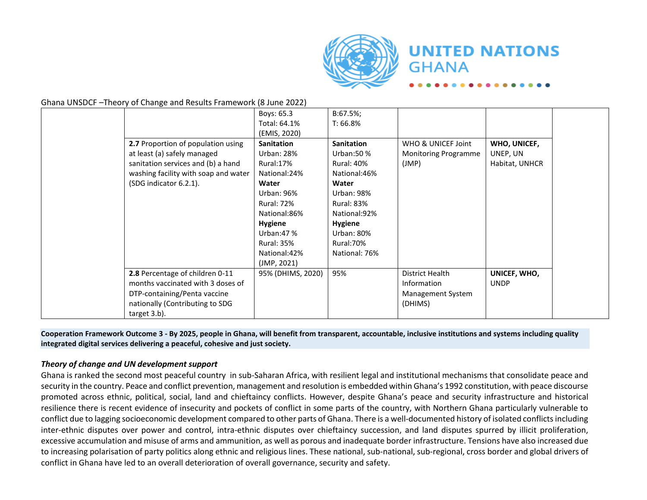

Ghana UNSDCF –Theory of Change and Results Framework (8 June 2022)

|                                      | Boys: 65.3        | B:67.5%;          |                             |                |
|--------------------------------------|-------------------|-------------------|-----------------------------|----------------|
|                                      | Total: 64.1%      | T: 66.8%          |                             |                |
|                                      | (EMIS, 2020)      |                   |                             |                |
| 2.7 Proportion of population using   | <b>Sanitation</b> | <b>Sanitation</b> | WHO & UNICEF Joint          | WHO, UNICEF,   |
| at least (a) safely managed          | Urban: 28%        | Urban: 50 %       | <b>Monitoring Programme</b> | UNEP, UN       |
| sanitation services and (b) a hand   | Rural:17%         | <b>Rural: 40%</b> | (JMP)                       | Habitat, UNHCR |
| washing facility with soap and water | National: 24%     | National: 46%     |                             |                |
| (SDG indicator 6.2.1).               | Water             | Water             |                             |                |
|                                      | Urban: 96%        | Urban: 98%        |                             |                |
|                                      | <b>Rural: 72%</b> | <b>Rural: 83%</b> |                             |                |
|                                      | National:86%      | National: 92%     |                             |                |
|                                      | <b>Hygiene</b>    | <b>Hygiene</b>    |                             |                |
|                                      | Urban: $47%$      | Urban: 80%        |                             |                |
|                                      | <b>Rural: 35%</b> | Rural: 70%        |                             |                |
|                                      | National: 42%     | National: 76%     |                             |                |
|                                      | (JMP, 2021)       |                   |                             |                |
| 2.8 Percentage of children 0-11      | 95% (DHIMS, 2020) | 95%               | District Health             | UNICEF, WHO,   |
| months vaccinated with 3 doses of    |                   |                   | Information                 | <b>UNDP</b>    |
| DTP-containing/Penta vaccine         |                   |                   | Management System           |                |
| nationally (Contributing to SDG      |                   |                   | (DHIMS)                     |                |
| target 3.b).                         |                   |                   |                             |                |

**Cooperation Framework Outcome 3 - By 2025, people in Ghana, will benefit from transparent, accountable, inclusive institutions and systems including quality integrated digital services delivering a peaceful, cohesive and just society.**

#### *Theory of change and UN development support*

Ghana is ranked the second most peaceful country in sub-Saharan Africa, with resilient legal and institutional mechanisms that consolidate peace and security in the country. Peace and conflict prevention, management and resolution is embedded within Ghana's 1992 constitution, with peace discourse promoted across ethnic, political, social, land and chieftaincy conflicts. However, despite Ghana's peace and security infrastructure and historical resilience there is recent evidence of insecurity and pockets of conflict in some parts of the country, with Northern Ghana particularly vulnerable to conflict due to lagging socioeconomic development compared to other parts of Ghana. There is a well-documented history of isolated conflicts including inter-ethnic disputes over power and control, intra-ethnic disputes over chieftaincy succession, and land disputes spurred by illicit proliferation, excessive accumulation and misuse of arms and ammunition, as well as porous and inadequate border infrastructure. Tensions have also increased due to increasing polarisation of party politics along ethnic and religious lines. These national, sub-national, sub-regional, cross border and global drivers of conflict in Ghana have led to an overall deterioration of overall governance, security and safety.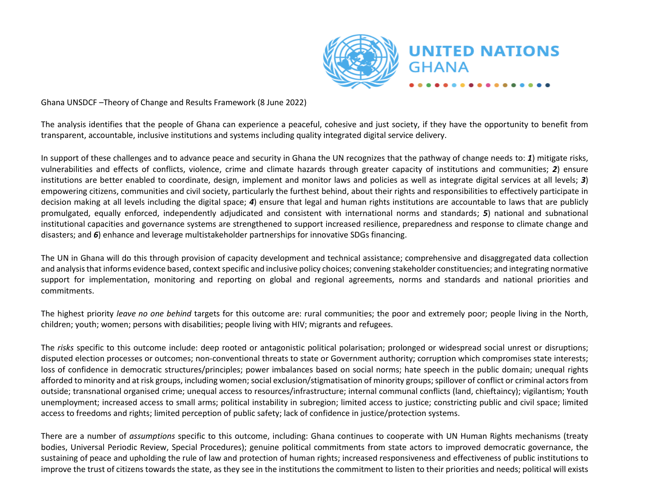

The analysis identifies that the people of Ghana can experience a peaceful, cohesive and just society, if they have the opportunity to benefit from transparent, accountable, inclusive institutions and systems including quality integrated digital service delivery.

In support of these challenges and to advance peace and security in Ghana the UN recognizes that the pathway of change needs to: *1*) mitigate risks, vulnerabilities and effects of conflicts, violence, crime and climate hazards through greater capacity of institutions and communities; *2*) ensure institutions are better enabled to coordinate, design, implement and monitor laws and policies as well as integrate digital services at all levels; *3*) empowering citizens, communities and civil society, particularly the furthest behind, about their rights and responsibilities to effectively participate in decision making at all levels including the digital space; *4*) ensure that legal and human rights institutions are accountable to laws that are publicly promulgated, equally enforced, independently adjudicated and consistent with international norms and standards; *5*) national and subnational institutional capacities and governance systems are strengthened to support increased resilience, preparedness and response to climate change and disasters; and *6*) enhance and leverage multistakeholder partnerships for innovative SDGs financing.

The UN in Ghana will do this through provision of capacity development and technical assistance; comprehensive and disaggregated data collection and analysis that informs evidence based, context specific and inclusive policy choices; convening stakeholder constituencies; and integrating normative support for implementation, monitoring and reporting on global and regional agreements, norms and standards and national priorities and commitments.

The highest priority *leave no one behind* targets for this outcome are: rural communities; the poor and extremely poor; people living in the North, children; youth; women; persons with disabilities; people living with HIV; migrants and refugees.

The *risks* specific to this outcome include: deep rooted or antagonistic political polarisation; prolonged or widespread social unrest or disruptions; disputed election processes or outcomes; non-conventional threats to state or Government authority; corruption which compromises state interests; loss of confidence in democratic structures/principles; power imbalances based on social norms; hate speech in the public domain; unequal rights afforded to minority and at risk groups, including women; social exclusion/stigmatisation of minority groups; spillover of conflict or criminal actors from outside; transnational organised crime; unequal access to resources/infrastructure; internal communal conflicts (land, chieftaincy); vigilantism; Youth unemployment; increased access to small arms; political instability in subregion; limited access to justice; constricting public and civil space; limited access to freedoms and rights; limited perception of public safety; lack of confidence in justice/protection systems.

There are a number of *assumptions* specific to this outcome, including: Ghana continues to cooperate with UN Human Rights mechanisms (treaty bodies, Universal Periodic Review, Special Procedures); genuine political commitments from state actors to improved democratic governance, the sustaining of peace and upholding the rule of law and protection of human rights; increased responsiveness and effectiveness of public institutions to improve the trust of citizens towards the state, as they see in the institutions the commitment to listen to their priorities and needs; political will exists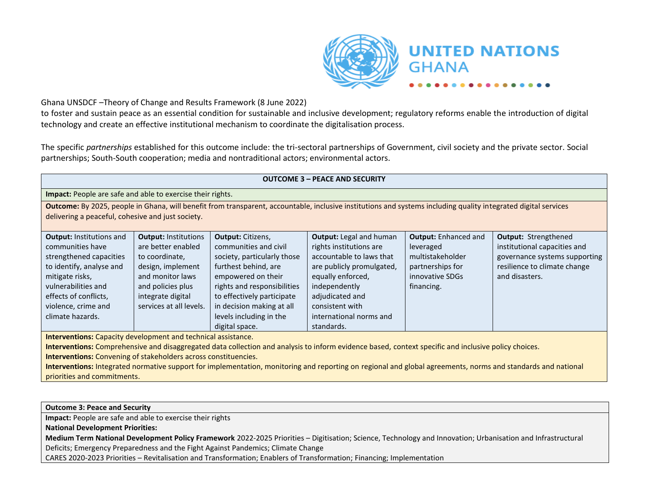

to foster and sustain peace as an essential condition for sustainable and inclusive development; regulatory reforms enable the introduction of digital technology and create an effective institutional mechanism to coordinate the digitalisation process.

The specific *partnerships* established for this outcome include: the tri-sectoral partnerships of Government, civil society and the private sector. Social partnerships; South-South cooperation; media and nontraditional actors; environmental actors.

#### **OUTCOME 3 – PEACE AND SECURITY**

#### **Impact:** People are safe and able to exercise their rights.

**Outcome:** By 2025, people in Ghana, will benefit from transparent, accountable, inclusive institutions and systems including quality integrated digital services delivering a peaceful, cohesive and just society.

| <b>Output: Institutions and</b> | <b>Output: Institutions</b> | <b>Output: Citizens,</b>    | <b>Output:</b> Legal and human | <b>Output:</b> Enhanced and | <b>Output: Strengthened</b>   |
|---------------------------------|-----------------------------|-----------------------------|--------------------------------|-----------------------------|-------------------------------|
| communities have                | are better enabled          | communities and civil       | rights institutions are        | leveraged                   | institutional capacities and  |
| strengthened capacities         | to coordinate,              | society, particularly those | accountable to laws that       | multistakeholder            | governance systems supporting |
| to identify, analyse and        | design, implement           | furthest behind, are        | are publicly promulgated,      | partnerships for            | resilience to climate change  |
| mitigate risks,                 | and monitor laws            | empowered on their          | equally enforced,              | innovative SDGs             | and disasters.                |
| vulnerabilities and             | and policies plus           | rights and responsibilities | independently                  | financing.                  |                               |
| effects of conflicts,           | integrate digital           | to effectively participate  | adjudicated and                |                             |                               |
| violence, crime and             | services at all levels.     | in decision making at all   | consistent with                |                             |                               |
| climate hazards.                |                             | levels including in the     | international norms and        |                             |                               |
|                                 |                             | digital space.              | standards.                     |                             |                               |

**Interventions:** Capacity development and technical assistance.

**Interventions:** Comprehensive and disaggregated data collection and analysis to inform evidence based, context specific and inclusive policy choices.

**Interventions:** Convening of stakeholders across constituencies.

**Interventions:** Integrated normative support for implementation, monitoring and reporting on regional and global agreements, norms and standards and national priorities and commitments.

**Outcome 3: Peace and Security**

**Impact:** People are safe and able to exercise their rights

**National Development Priorities:**

**Medium Term National Development Policy Framework** 2022-2025 Priorities – Digitisation; Science, Technology and Innovation; Urbanisation and Infrastructural Deficits; Emergency Preparedness and the Fight Against Pandemics; Climate Change

CARES 2020-2023 Priorities – Revitalisation and Transformation; Enablers of Transformation; Financing; Implementation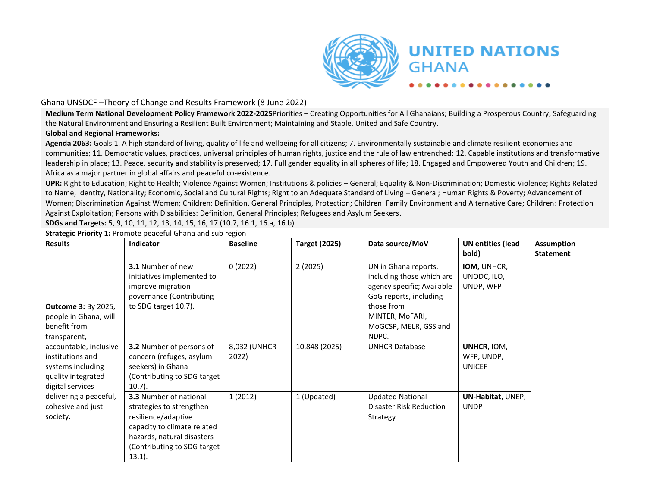

Ghana UNSDCF –Theory of Change and Results Framework (8 June 2022)

**Medium Term National Development Policy Framework 2022-2025**Priorities – Creating Opportunities for All Ghanaians; Building a Prosperous Country; Safeguarding the Natural Environment and Ensuring a Resilient Built Environment; Maintaining and Stable, United and Safe Country.

#### **Global and Regional Frameworks:**

**Agenda 2063:** Goals 1. A high standard of living, quality of life and wellbeing for all citizens; 7. Environmentally sustainable and climate resilient economies and communities; 11. Democratic values, practices, universal principles of human rights, justice and the rule of law entrenched; 12. Capable institutions and transformative leadership in place; 13. Peace, security and stability is preserved; 17. Full gender equality in all spheres of life; 18. Engaged and Empowered Youth and Children; 19. Africa as a major partner in global affairs and peaceful co-existence.

**UPR:** Right to Education; Right to Health; Violence Against Women; Institutions & policies – General; Equality & Non-Discrimination; Domestic Violence; Rights Related to Name, Identity, Nationality; Economic, Social and Cultural Rights; Right to an Adequate Standard of Living – General; Human Rights & Poverty; Advancement of Women; Discrimination Against Women; Children: Definition, General Principles, Protection; Children: Family Environment and Alternative Care; Children: Protection Against Exploitation; Persons with Disabilities: Definition, General Principles; Refugees and Asylum Seekers.

**SDGs and Targets:** 5, 9, 10, 11, 12, 13, 14, 15, 16, 17 (10.7, 16.1, 16.a, 16.b)

**Strategic Priority 1:** Promote peaceful Ghana and sub region

| <b>Results</b>                                                                                            | <b>Indicator</b>                                                                                                                                                                          | <b>Baseline</b>       | <b>Target (2025)</b> | Data source/MoV                                                                                                                                                              | <b>UN entities (lead</b><br>bold)          | <b>Assumption</b><br><b>Statement</b> |
|-----------------------------------------------------------------------------------------------------------|-------------------------------------------------------------------------------------------------------------------------------------------------------------------------------------------|-----------------------|----------------------|------------------------------------------------------------------------------------------------------------------------------------------------------------------------------|--------------------------------------------|---------------------------------------|
| <b>Outcome 3: By 2025,</b><br>people in Ghana, will<br>benefit from<br>transparent,                       | <b>3.1</b> Number of new<br>initiatives implemented to<br>improve migration<br>governance (Contributing<br>to SDG target 10.7).                                                           | 0(2022)               | 2(2025)              | UN in Ghana reports,<br>including those which are<br>agency specific; Available<br>GoG reports, including<br>those from<br>MINTER, MoFARI,<br>MoGCSP, MELR, GSS and<br>NDPC. | IOM, UNHCR,<br>UNODC, ILO,<br>UNDP, WFP    |                                       |
| accountable, inclusive<br>institutions and<br>systems including<br>quality integrated<br>digital services | 3.2 Number of persons of<br>concern (refuges, asylum<br>seekers) in Ghana<br>(Contributing to SDG target)<br>$10.7$ ).                                                                    | 8,032 (UNHCR<br>2022) | 10,848 (2025)        | <b>UNHCR Database</b>                                                                                                                                                        | UNHCR, IOM,<br>WFP, UNDP,<br><b>UNICEF</b> |                                       |
| delivering a peaceful,<br>cohesive and just<br>society.                                                   | <b>3.3 Number of national</b><br>strategies to strengthen<br>resilience/adaptive<br>capacity to climate related<br>hazards, natural disasters<br>(Contributing to SDG target<br>$13.1$ ). | 1(2012)               | 1 (Updated)          | <b>Updated National</b><br>Disaster Risk Reduction<br>Strategy                                                                                                               | UN-Habitat, UNEP,<br><b>UNDP</b>           |                                       |